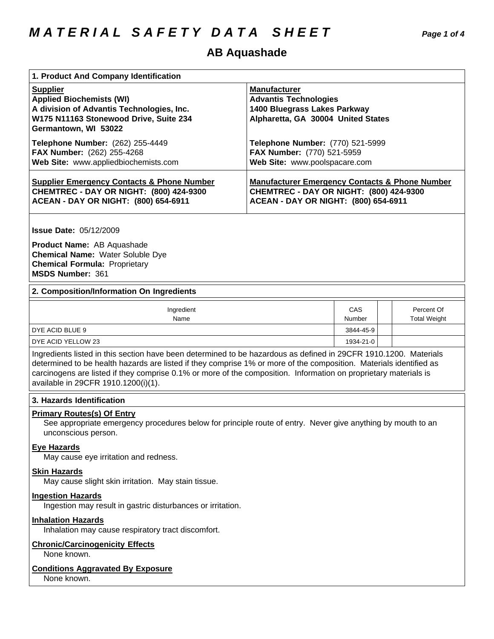### **AB Aquashade**

| 1. Product And Company Identification                                                                                                                             |                                                                                                                           |  |  |
|-------------------------------------------------------------------------------------------------------------------------------------------------------------------|---------------------------------------------------------------------------------------------------------------------------|--|--|
| <b>Supplier</b><br><b>Applied Biochemists (WI)</b><br>A division of Advantis Technologies, Inc.<br>W175 N11163 Stonewood Drive, Suite 234<br>Germantown, WI 53022 | <b>Manufacturer</b><br><b>Advantis Technologies</b><br>1400 Bluegrass Lakes Parkway<br>Alpharetta, GA 30004 United States |  |  |
| Telephone Number: (262) 255-4449                                                                                                                                  | <b>Telephone Number: (770) 521-5999</b>                                                                                   |  |  |
| <b>FAX Number:</b> (262) 255-4268                                                                                                                                 | FAX Number: (770) 521-5959                                                                                                |  |  |
| Web Site: www.appliedbiochemists.com                                                                                                                              | Web Site: www.poolspacare.com                                                                                             |  |  |
| <b>Supplier Emergency Contacts &amp; Phone Number</b>                                                                                                             | <b>Manufacturer Emergency Contacts &amp; Phone Number</b>                                                                 |  |  |
| <b>CHEMTREC - DAY OR NIGHT: (800) 424-9300</b>                                                                                                                    | <b>CHEMTREC - DAY OR NIGHT: (800) 424-9300</b>                                                                            |  |  |
| ACEAN - DAY OR NIGHT: (800) 654-6911                                                                                                                              | ACEAN - DAY OR NIGHT: (800) 654-6911                                                                                      |  |  |

**Issue Date:** 05/12/2009

**Product Name:** AB Aquashade **Chemical Name:** Water Soluble Dye **Chemical Formula:** Proprietary **MSDS Number:** 361

#### **2. Composition/Information On Ingredients**

| Ingredient<br>Name | CAS<br>Number | Percent Of<br><b>Total Weight</b> |
|--------------------|---------------|-----------------------------------|
| DYE ACID BLUE 9    | 3844-45-9     |                                   |
| DYE ACID YELLOW 23 | 1934-21-0     |                                   |

Ingredients listed in this section have been determined to be hazardous as defined in 29CFR 1910.1200. Materials determined to be health hazards are listed if they comprise 1% or more of the composition. Materials identified as carcinogens are listed if they comprise 0.1% or more of the composition. Information on proprietary materials is available in 29CFR 1910.1200(i)(1).

#### **3. Hazards Identification**

#### **Primary Routes(s) Of Entry**

See appropriate emergency procedures below for principle route of entry. Never give anything by mouth to an unconscious person.

#### **Eye Hazards**

May cause eye irritation and redness.

#### **Skin Hazards**

May cause slight skin irritation. May stain tissue.

#### **Ingestion Hazards**

Ingestion may result in gastric disturbances or irritation.

#### **Inhalation Hazards**

Inhalation may cause respiratory tract discomfort.

#### **Chronic/Carcinogenicity Effects**

None known.

#### **Conditions Aggravated By Exposure**

None known.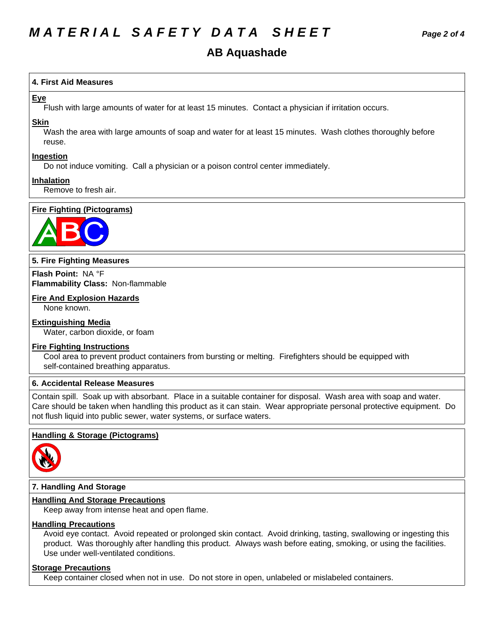## *MATERIAL SAFETY DATA SHEET Page 2 of 4*

#### **4.First AidMeasures**

#### **Eye**

Flush with large amounts of water for at least 15 minutes. Contact a physician if irritation occurs.

#### **Skin**

Wash the area with large amounts of soap and water for at least 15 minutes. Wash clothes thoroughly before reuse.

#### **Ingestion**

Do not induce vomiting. Call a physician or a poison control center immediately.

#### **Inhalation**

Remove to fresh air.

#### **Fire Fighting (Pictograms)**



#### **5. Fire Fighting Measures**

**Flash Point:** NA°F **Flammability Class:** Non-flammable

#### **Fire And Explosion Hazards**

None known.

#### **Extinguishing Media**

Water, carbon dioxide, or foam

#### **Fire Fighting Instructions**

Cool area to prevent product containers from bursting or melting. Firefighters should be equipped with self-contained breathing apparatus.

#### **6. Accidental Release Measures**

Contain spill. Soak up with absorbant. Place in a suitable container for disposal. Wash area with soap and water. Care should be taken when handling this product as it can stain. Wear appropriate personal protective equipment. Do not flush liquid into public sewer, water systems, or surface waters.

#### **Handling & Storage (Pictograms)**



#### **7. Handling And Storage**

#### **Handling And Storage Precautions**

Keep away from intense heat and open flame.

#### **Handling Precautions**

Avoid eye contact. Avoid repeated or prolonged skin contact. Avoid drinking, tasting, swallowing or ingesting this product. Was thoroughly after handling this product. Always wash before eating, smoking, or using the facilities. Use under well-ventilated conditions.

#### **Storage Precautions**

Keep container closed when not in use. Do not store in open, unlabeled or mislabeled containers.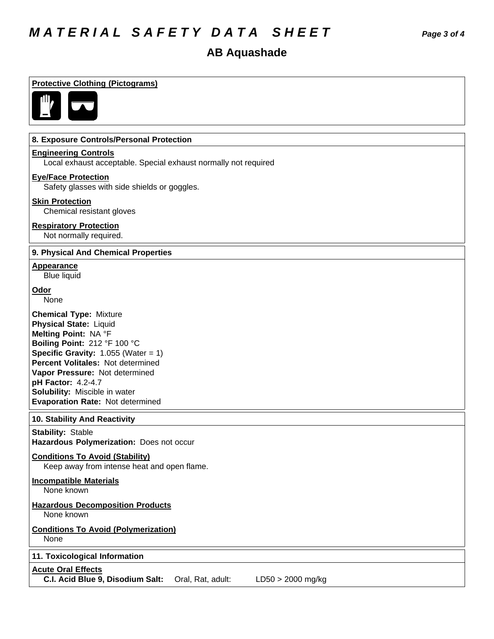# *MATERIAL SAFETY DATA SHEET Page 3 of 4*

| <b>Protective Clothing (Pictograms)</b>                                                                                                                                                                                                                                                                                                |
|----------------------------------------------------------------------------------------------------------------------------------------------------------------------------------------------------------------------------------------------------------------------------------------------------------------------------------------|
|                                                                                                                                                                                                                                                                                                                                        |
| 8. Exposure Controls/Personal Protection                                                                                                                                                                                                                                                                                               |
| <b>Engineering Controls</b><br>Local exhaust acceptable. Special exhaust normally not required                                                                                                                                                                                                                                         |
| <b>Eye/Face Protection</b><br>Safety glasses with side shields or goggles.                                                                                                                                                                                                                                                             |
| <b>Skin Protection</b><br>Chemical resistant gloves                                                                                                                                                                                                                                                                                    |
| <b>Respiratory Protection</b><br>Not normally required.                                                                                                                                                                                                                                                                                |
| 9. Physical And Chemical Properties                                                                                                                                                                                                                                                                                                    |
| <b>Appearance</b><br><b>Blue liquid</b>                                                                                                                                                                                                                                                                                                |
| Odor<br>None                                                                                                                                                                                                                                                                                                                           |
| <b>Chemical Type: Mixture</b><br>Physical State: Liquid<br>Melting Point: NA °F<br>Boiling Point: 212 °F 100 °C<br><b>Specific Gravity: 1.055 (Water = 1)</b><br><b>Percent Volitales: Not determined</b><br>Vapor Pressure: Not determined<br>pH Factor: 4.2-4.7<br>Solubility: Miscible in water<br>Evaporation Rate: Not determined |
| 10. Stability And Reactivity                                                                                                                                                                                                                                                                                                           |
| <b>Stability: Stable</b><br>Hazardous Polymerization: Does not occur                                                                                                                                                                                                                                                                   |
| <b>Conditions To Avoid (Stability)</b><br>Keep away from intense heat and open flame.                                                                                                                                                                                                                                                  |
| <b>Incompatible Materials</b><br>None known                                                                                                                                                                                                                                                                                            |
| <b>Hazardous Decomposition Products</b><br>None known                                                                                                                                                                                                                                                                                  |
| <b>Conditions To Avoid (Polymerization)</b><br>None                                                                                                                                                                                                                                                                                    |
| 11. Toxicological Information                                                                                                                                                                                                                                                                                                          |
| <b>Acute Oral Effects</b><br>C.I. Acid Blue 9, Disodium Salt:<br>Oral, Rat, adult:<br>$LD50 > 2000$ mg/kg                                                                                                                                                                                                                              |
|                                                                                                                                                                                                                                                                                                                                        |